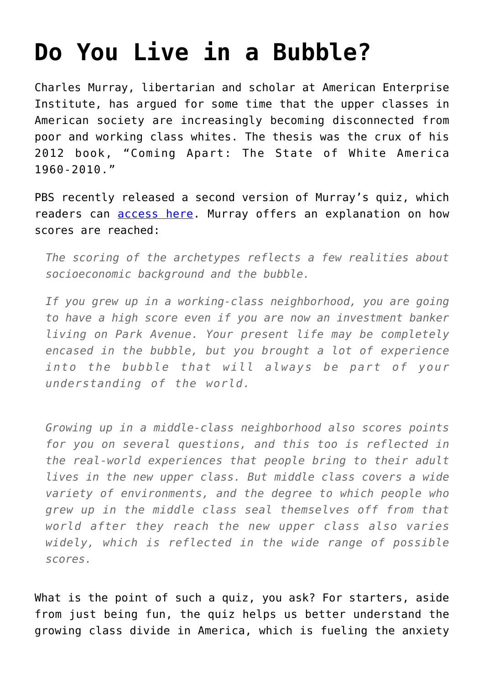## **[Do You Live in a Bubble?](https://intellectualtakeout.org/2016/04/do-you-live-in-a-bubble/)**

Charles Murray, libertarian and scholar at American Enterprise Institute, has argued for some time that the upper classes in American society are increasingly becoming disconnected from poor and working class whites. The thesis was the crux of his 2012 book, "Coming Apart: The State of White America 1960-2010."

PBS recently released a second version of Murray's quiz, which readers can [access here.](http://www.pbs.org/newshour/making-sense/do-you-live-in-a-bubble-a-quiz-2/) Murray offers an explanation on how scores are reached:

*The scoring of the archetypes reflects a few realities about socioeconomic background and the bubble.*

*If you grew up in a working-class neighborhood, you are going to have a high score even if you are now an investment banker living on Park Avenue. Your present life may be completely encased in the bubble, but you brought a lot of experience into the bubble that will always be part of your understanding of the world.*

*Growing up in a middle-class neighborhood also scores points for you on several questions, and this too is reflected in the real-world experiences that people bring to their adult lives in the new upper class. But middle class covers a wide variety of environments, and the degree to which people who grew up in the middle class seal themselves off from that world after they reach the new upper class also varies widely, which is reflected in the wide range of possible scores.*

What is the point of such a quiz, you ask? For starters, aside from just being fun, the quiz helps us better understand the growing class divide in America, which is fueling the anxiety